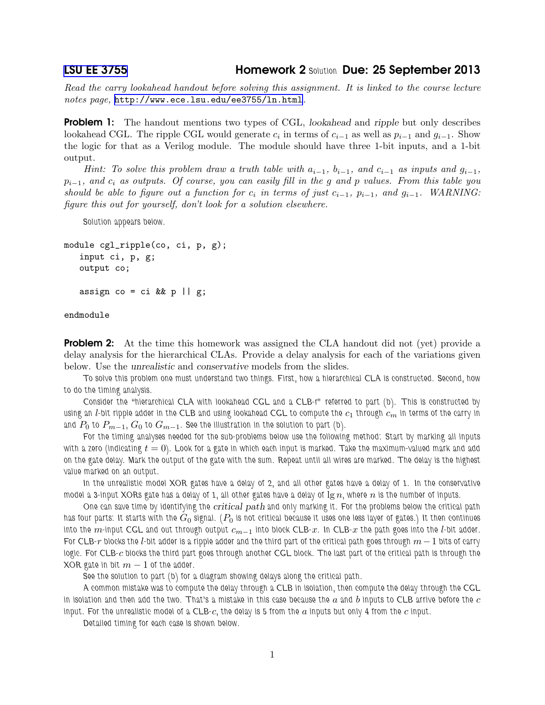[LSU EE 3755](http://www.ece.lsu.edu/ee3755/) Homework 2 *Solution* Due: 25 September 2013

*Read the carry lookahead handout before solving this assignment. It is linked to the course lecture notes page,* <http://www.ece.lsu.edu/ee3755/ln.html>*.*

**Problem 1:** The handout mentions two types of CGL, *lookahead* and *ripple* but only describes lookahead CGL. The ripple CGL would generate  $c_i$  in terms of  $c_{i-1}$  as well as  $p_{i-1}$  and  $g_{i-1}$ . Show the logic for that as a Verilog module. The module should have three 1-bit inputs, and a 1-bit output.

*Hint:* To solve this problem draw a truth table with  $a_{i-1}$ ,  $b_{i-1}$ , and  $c_{i-1}$  as inputs and  $g_{i-1}$ , pi−1*, and* c<sup>i</sup> *as outputs. Of course, you can easily fill in the* g *and* p *values. From this table you should be able to figure out a function for*  $c_i$  *in terms of just*  $c_{i-1}$ *,*  $p_{i-1}$ *, and*  $g_{i-1}$ *. WARNING: figure this out for yourself, don't look for a solution elsewhere.*

*Solution appears below.*

```
module cgl_ripple(co, ci, p, g);
input ci, p, g;
output co;
assign co = ci \& k p || g;
```
endmodule

**Problem 2:** At the time this homework was assigned the CLA handout did not (yet) provide a delay analysis for the hierarchical CLAs. Provide a delay analysis for each of the variations given below. Use the unrealistic and conservative models from the slides.

*To solve this problem one must understand two things. First, how a hierarchical CLA is constructed. Second, how to do the timing analysis.*

*Consider the "hierarchical CLA with lookahead CGL and a CLB-r" referred to part (b). This is constructed by using an l-bit ripple adder in the CLB and using lookahead CGL to compute the*  $c_1$  *through*  $c_m$  *in terms of the carry in* and  $P_0$  to  $P_{m-1}$ ,  $G_0$  to  $G_{m-1}$ . See the illustration in the solution to part (b).

*For the timing analyses needed for the sub-problems below use the following method: Start by marking all inputs w*ith a zero (indicating  $t = 0$ ). Look for a gate in which each input is marked. Take the maximum-valued mark and add *on the gate delay. Mark the output of the gate with the sum. Repeat until all wires are marked. The delay is the highest value marked on an output.*

*In the unrealistic model XOR gates have a delay of 2, and all other gates have a delay of 1. In the conservative model a 3-input XORs gate has a delay of 1, all other gates have a delay of*  $\lg n$ *, where*  $n$  *is the number of inputs.* 

*One can save time by identifying the* critical path *and only marking it. For the problems below the critical path has four parts: It starts with the* G<sup>0</sup> *signal. (*P<sup>0</sup> *is not critical because it uses one less layer of gates.) It then continues into the* m*-input CGL and out through output* cm−<sup>1</sup> *into block CLB-*x*. In CLB-*x *the path goes into the* l*-bit adder. For CLB-*r *blocks the* l*-bit adder is a ripple adder and the third part of the critical path goes through* m−1 *bits of carry logic. For CLB-*c *blocks the third part goes through another CGL block. The last part of the critical path is through the XOR gate in bit*  $m - 1$  *of the adder.* 

*See the solution to part (b) for a diagram showing delays along the critical path.*

*A common mistake was to compute the delay through a CLB in isolation, then compute the delay through the CGL* in isolation and then add the two. That's a mistake in this case because the  $a$  and  $b$  inputs to  $\text{CLB}$  arrive before the  $c$ *input. For the unrealistic model of a CLB-*c*, the delay is 5 from the* a *inputs but only 4 from the* c *input.*

*Detailed timing for each case is shown below.*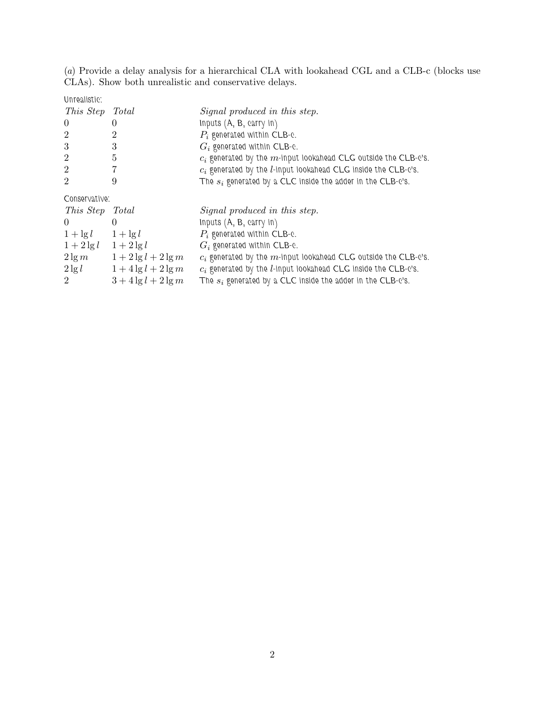(*a*) Provide a delay analysis for a hierarchical CLA with lookahead CGL and a CLB-c (blocks use CLAs). Show both unrealistic and conservative delays.

*Unrealistic:*

| This Step                   | Total                      | Signal produced in this step.                                            |
|-----------------------------|----------------------------|--------------------------------------------------------------------------|
| $\theta$                    |                            | Inputs $(A, B, carry in)$                                                |
| $\overline{2}$              |                            | $P_i$ generated within CLB-c.                                            |
| 3                           | 3                          | $G_i$ generated within CLB-c.                                            |
| $\overline{2}$              | 5                          | $c_i$ generated by the $m$ -input lookahead CLG outside the CLB-c's.     |
| $\overline{2}$              | 7                          | $c_i$ generated by the <i>l</i> -input lookahead CLG inside the CLB-c's. |
| $\overline{2}$              | 9                          | The $s_i$ generated by a CLC inside the adder in the CLB-c's.            |
| Conservative:               |                            |                                                                          |
| This Step Total             |                            | Signal produced in this step.                                            |
| $\theta$                    |                            | Inputs $(A, B, carry in)$                                                |
| $1 + \lg l$ $1 + \lg l$     |                            | $P_i$ generated within CLB-c.                                            |
| $1 + 2 \lg l$ $1 + 2 \lg l$ |                            | $G_i$ generated within CLB-e.                                            |
|                             | $2\lg m$ $1+2\lg l+2\lg m$ | $c_i$ generated by the $m$ -input lookahead CLG outside the CLB-c's.     |
| $2\lg l$                    | $1+4\lg l+2\lg m$          | $c_i$ generated by the <i>l</i> -input lookahead CLG inside the CLB-c's. |
| 2                           | $3 + 4 \lg l + 2 \lg m$    | The $s_i$ generated by a CLC inside the adder in the CLB-c's.            |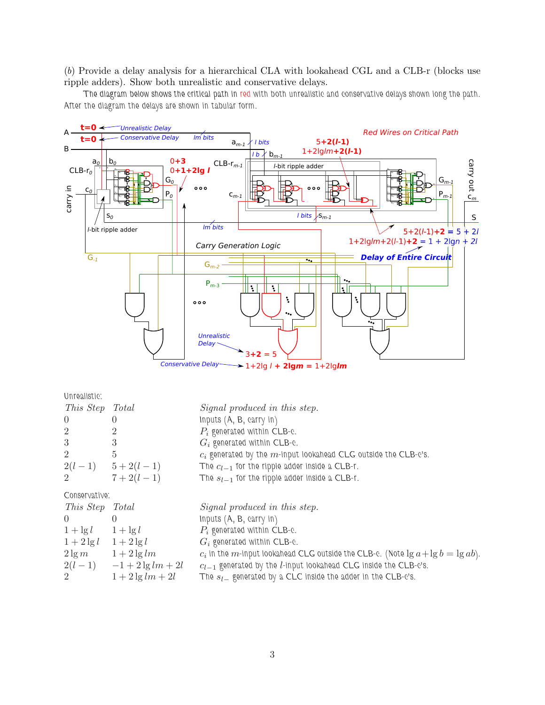(*b*) Provide a delay analysis for a hierarchical CLA with lookahead CGL and a CLB-r (blocks use ripple adders). Show both unrealistic and conservative delays.

*The diagram below shows the critical path in red with both unrealistic and conservative delays shown long the path. After the diagram the delays are shown in tabular form.*



 $-1+2\lg l + 2\lg m = 1+2\lg lm$ 

| This Step Total          | Signal produced in this step.                                                           |
|--------------------------|-----------------------------------------------------------------------------------------|
|                          | Inputs $(A, B, carry in)$                                                               |
|                          | $P_i$ generated within CLB-e.                                                           |
| 3                        | $G_i$ generated within CLB-c.                                                           |
| $\overline{5}$           | $c_i$ generated by the $m$ -input lookahead CLG outside the CLB-c's.                    |
|                          | The $c_{l-1}$ for the ripple adder inside a CLB-r.                                      |
| $7+2(l-1)$               | The $s_{l-1}$ for the ripple adder inside a CLB-r.                                      |
| Conservative:            |                                                                                         |
| This Step<br>Total       | Signal produced in this step.                                                           |
|                          |                                                                                         |
| $\left( \right)$         | Inputs $(A, B, carry in)$                                                               |
| $1 + \lg l$ $1 + \lg l$  | $P_i$ generated within CLB-e.                                                           |
| $1+2\lg l$ $1+2\lg l$    | $G_i$ generated within CLB-e.                                                           |
| $2\lg m$ $1+2\lg lm$     | $c_i$ in the m-input lookahead CLG outside the CLB-c. (Note $\lg a + \lg b = \lg ab$ ). |
| $2(l-1)$ $-1+2\lg lm+2l$ | $c_{l-1}$ generated by the <i>l</i> -input lookahead CLG inside the CLB-c's.            |
|                          | $2(l-1)$ $5+2(l-1)$                                                                     |